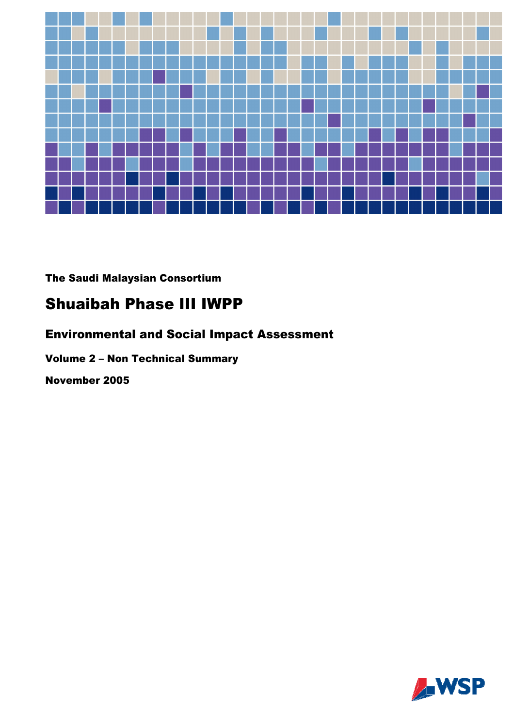

The Saudi Malaysian Consortium

# **Shuaibah Phase III IWPP**

# **Environmental and Social Impact Assessment**

# **Volume 2 - Non Technical Summary**

November 2005

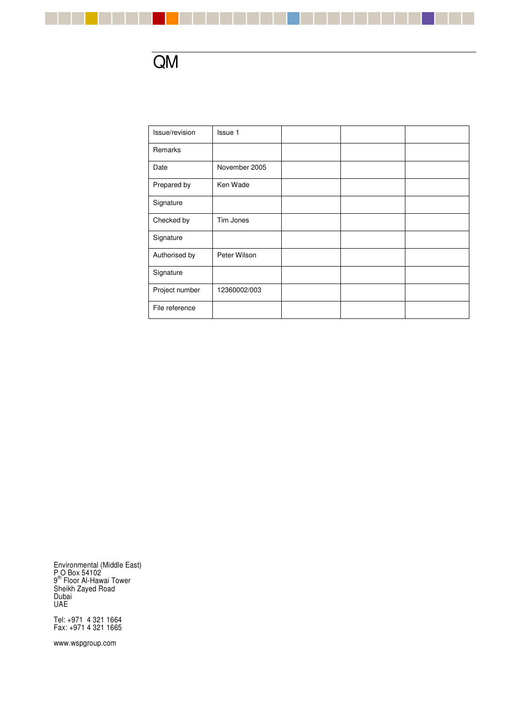

a pr

| Issue/revision | Issue 1       |  |  |
|----------------|---------------|--|--|
| Remarks        |               |  |  |
| Date           | November 2005 |  |  |
| Prepared by    | Ken Wade      |  |  |
| Signature      |               |  |  |
| Checked by     | Tim Jones     |  |  |
| Signature      |               |  |  |
| Authorised by  | Peter Wilson  |  |  |
| Signature      |               |  |  |
| Project number | 12360002/003  |  |  |
| File reference |               |  |  |

n.

Environmental (Middle East) P O Box 54102 9<sup>th</sup> Floor Al-Hawai Tower Sheikh Zayed Road Dubai UAE

Tel: +971 4 321 1664 Fax: +971 4 321 1665

www.wspgroup.com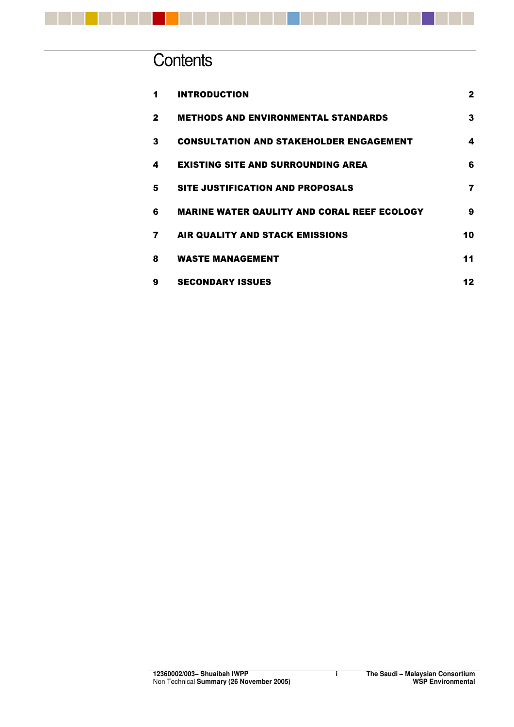

# **Contents**

| 1            | <b>INTRODUCTION</b>                                | $\mathbf{2}$ |
|--------------|----------------------------------------------------|--------------|
| $\mathbf{2}$ | <b>METHODS AND ENVIRONMENTAL STANDARDS</b>         | 3            |
| 3            | <b>CONSULTATION AND STAKEHOLDER ENGAGEMENT</b>     | 4            |
| 4            | <b>EXISTING SITE AND SURROUNDING AREA</b>          | 6            |
| 5            | SITE JUSTIFICATION AND PROPOSALS                   | 7            |
| 6            | <b>MARINE WATER QAULITY AND CORAL REEF ECOLOGY</b> | 9            |
| 7            | AIR QUALITY AND STACK EMISSIONS                    | 10           |
| 8            | <b>WASTE MANAGEMENT</b>                            | 11           |
| 9            | <b>SECONDARY ISSUES</b>                            | 12           |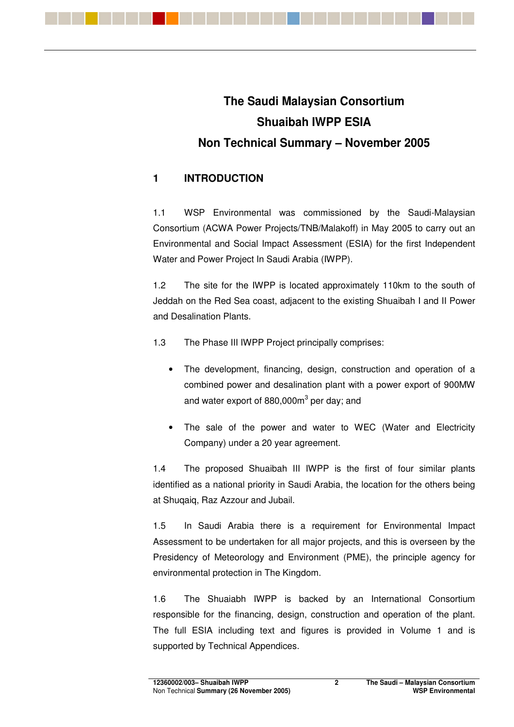

# **The Saudi Malaysian Consortium Shuaibah IWPP ESIA Non Technical Summary – November 2005**

# **1 INTRODUCTION**

1.1 WSP Environmental was commissioned by the Saudi-Malaysian Consortium (ACWA Power Projects/TNB/Malakoff) in May 2005 to carry out an Environmental and Social Impact Assessment (ESIA) for the first Independent Water and Power Project In Saudi Arabia (IWPP).

1.2 The site for the IWPP is located approximately 110km to the south of Jeddah on the Red Sea coast, adjacent to the existing Shuaibah I and II Power and Desalination Plants.

- 1.3 The Phase III IWPP Project principally comprises:
	- The development, financing, design, construction and operation of a combined power and desalination plant with a power export of 900MW and water export of 880,000m<sup>3</sup> per day; and
	- The sale of the power and water to WEC (Water and Electricity Company) under a 20 year agreement.

1.4 The proposed Shuaibah III IWPP is the first of four similar plants identified as a national priority in Saudi Arabia, the location for the others being at Shuqaiq, Raz Azzour and Jubail.

1.5 In Saudi Arabia there is a requirement for Environmental Impact Assessment to be undertaken for all major projects, and this is overseen by the Presidency of Meteorology and Environment (PME), the principle agency for environmental protection in The Kingdom.

1.6 The Shuaiabh IWPP is backed by an International Consortium responsible for the financing, design, construction and operation of the plant. The full ESIA including text and figures is provided in Volume 1 and is supported by Technical Appendices.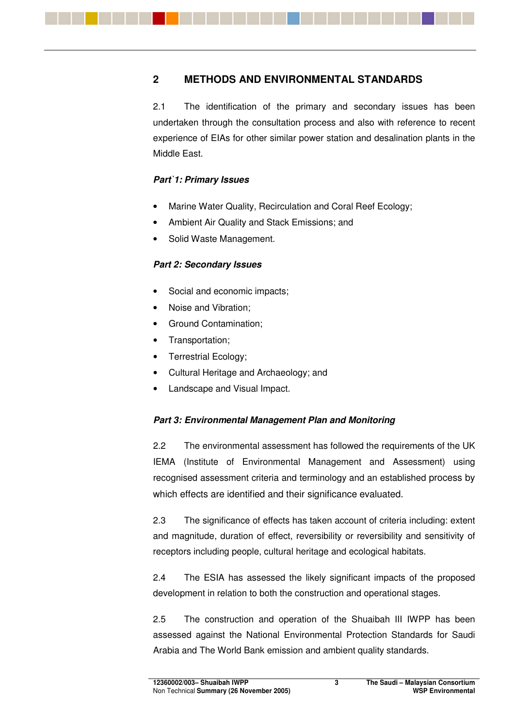# **2 METHODS AND ENVIRONMENTAL STANDARDS**

2.1 The identification of the primary and secondary issues has been undertaken through the consultation process and also with reference to recent experience of EIAs for other similar power station and desalination plants in the Middle East.

#### *Part`1: Primary Issues*

- Marine Water Quality, Recirculation and Coral Reef Ecology;
- Ambient Air Quality and Stack Emissions; and
- Solid Waste Management.

#### *Part 2: Secondary Issues*

- Social and economic impacts;
- Noise and Vibration;
- Ground Contamination;
- Transportation;
- Terrestrial Ecology;
- Cultural Heritage and Archaeology; and
- Landscape and Visual Impact.

#### *Part 3: Environmental Management Plan and Monitoring*

2.2 The environmental assessment has followed the requirements of the UK IEMA (Institute of Environmental Management and Assessment) using recognised assessment criteria and terminology and an established process by which effects are identified and their significance evaluated.

2.3 The significance of effects has taken account of criteria including: extent and magnitude, duration of effect, reversibility or reversibility and sensitivity of receptors including people, cultural heritage and ecological habitats.

2.4 The ESIA has assessed the likely significant impacts of the proposed development in relation to both the construction and operational stages.

2.5 The construction and operation of the Shuaibah III IWPP has been assessed against the National Environmental Protection Standards for Saudi Arabia and The World Bank emission and ambient quality standards.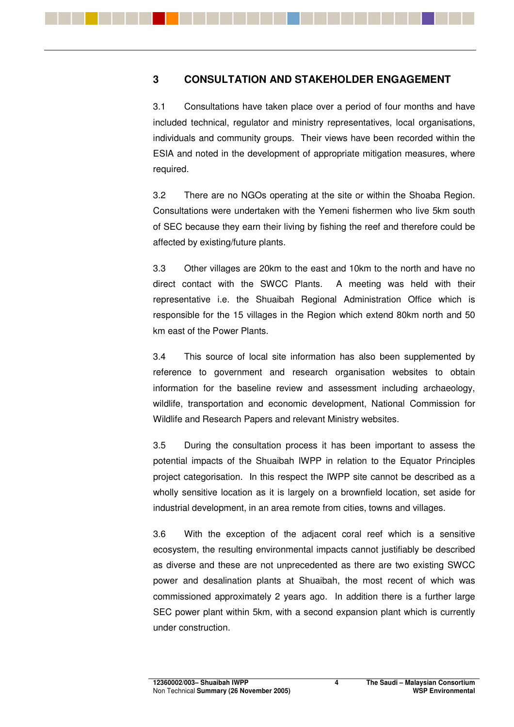## **3 CONSULTATION AND STAKEHOLDER ENGAGEMENT**

3.1 Consultations have taken place over a period of four months and have included technical, regulator and ministry representatives, local organisations, individuals and community groups. Their views have been recorded within the ESIA and noted in the development of appropriate mitigation measures, where required.

3.2 There are no NGOs operating at the site or within the Shoaba Region. Consultations were undertaken with the Yemeni fishermen who live 5km south of SEC because they earn their living by fishing the reef and therefore could be affected by existing/future plants.

3.3 Other villages are 20km to the east and 10km to the north and have no direct contact with the SWCC Plants. A meeting was held with their representative i.e. the Shuaibah Regional Administration Office which is responsible for the 15 villages in the Region which extend 80km north and 50 km east of the Power Plants.

3.4 This source of local site information has also been supplemented by reference to government and research organisation websites to obtain information for the baseline review and assessment including archaeology, wildlife, transportation and economic development, National Commission for Wildlife and Research Papers and relevant Ministry websites.

3.5 During the consultation process it has been important to assess the potential impacts of the Shuaibah IWPP in relation to the Equator Principles project categorisation. In this respect the IWPP site cannot be described as a wholly sensitive location as it is largely on a brownfield location, set aside for industrial development, in an area remote from cities, towns and villages.

3.6 With the exception of the adjacent coral reef which is a sensitive ecosystem, the resulting environmental impacts cannot justifiably be described as diverse and these are not unprecedented as there are two existing SWCC power and desalination plants at Shuaibah, the most recent of which was commissioned approximately 2 years ago. In addition there is a further large SEC power plant within 5km, with a second expansion plant which is currently under construction.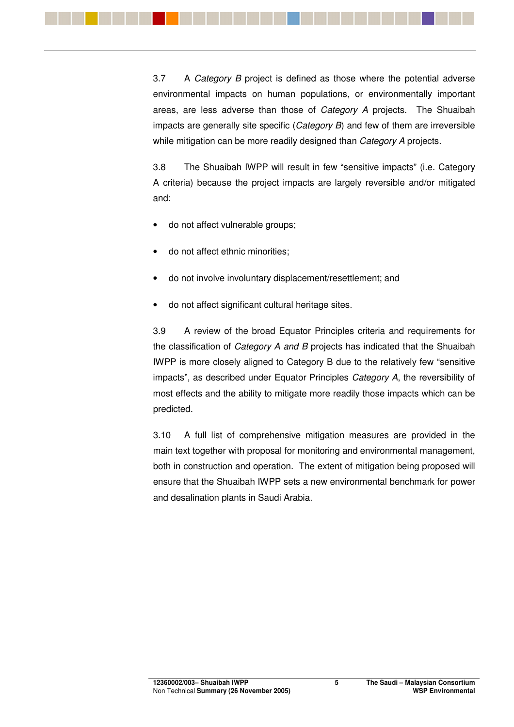3.7 A *Category B* project is defined as those where the potential adverse environmental impacts on human populations, or environmentally important areas, are less adverse than those of *Category A* projects. The Shuaibah impacts are generally site specific (*Category B*) and few of them are irreversible while mitigation can be more readily designed than *Category A* projects.

3.8 The Shuaibah IWPP will result in few "sensitive impacts" (i.e. Category A criteria) because the project impacts are largely reversible and/or mitigated and:

- do not affect vulnerable groups:
- do not affect ethnic minorities;
- do not involve involuntary displacement/resettlement; and
- do not affect significant cultural heritage sites.

3.9 A review of the broad Equator Principles criteria and requirements for the classification of *Category A and B* projects has indicated that the Shuaibah IWPP is more closely aligned to Category B due to the relatively few "sensitive impacts", as described under Equator Principles *Category A*, the reversibility of most effects and the ability to mitigate more readily those impacts which can be predicted.

3.10 A full list of comprehensive mitigation measures are provided in the main text together with proposal for monitoring and environmental management, both in construction and operation. The extent of mitigation being proposed will ensure that the Shuaibah IWPP sets a new environmental benchmark for power and desalination plants in Saudi Arabia.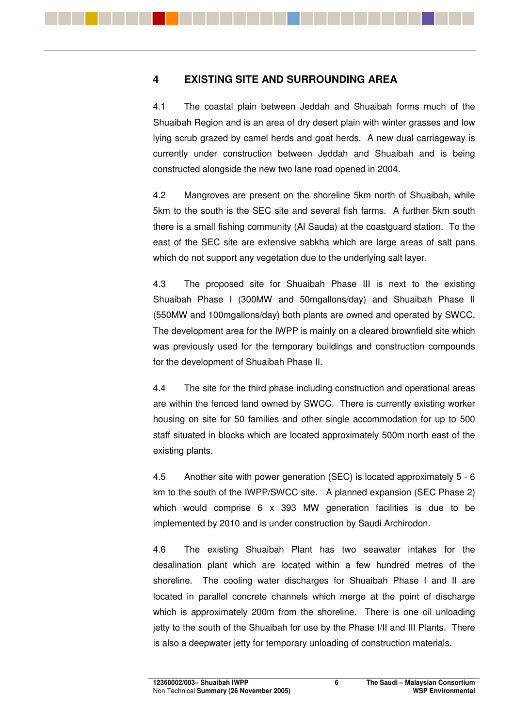## **4 EXISTING SITE AND SURROUNDING AREA**

4.1 The coastal plain between Jeddah and Shuaibah forms much of the Shuaibah Region and is an area of dry desert plain with winter grasses and low lying scrub grazed by camel herds and goat herds. A new dual carriageway is currently under construction between Jeddah and Shuaibah and is being constructed alongside the new two lane road opened in 2004.

4.2 Mangroves are present on the shoreline 5km north of Shuaibah, while 5km to the south is the SEC site and several fish farms. A further 5km south there is a small fishing community (Al Sauda) at the coastguard station. To the east of the SEC site are extensive sabkha which are large areas of salt pans which do not support any vegetation due to the underlying salt layer.

4.3 The proposed site for Shuaibah Phase III is next to the existing Shuaibah Phase I (300MW and 50mgallons/day) and Shuaibah Phase II (550MW and 100mgallons/day) both plants are owned and operated by SWCC. The development area for the IWPP is mainly on a cleared brownfield site which was previously used for the temporary buildings and construction compounds for the development of Shuaibah Phase II.

4.4 The site for the third phase including construction and operational areas are within the fenced land owned by SWCC. There is currently existing worker housing on site for 50 families and other single accommodation for up to 500 staff situated in blocks which are located approximately 500m north east of the existing plants.

4.5 Another site with power generation (SEC) is located approximately 5 - 6 km to the south of the IWPP/SWCC site. A planned expansion (SEC Phase 2) which would comprise 6 x 393 MW generation facilities is due to be implemented by 2010 and is under construction by Saudi Archirodon.

4.6 The existing Shuaibah Plant has two seawater intakes for the desalination plant which are located within a few hundred metres of the shoreline. The cooling water discharges for Shuaibah Phase I and II are located in parallel concrete channels which merge at the point of discharge which is approximately 200m from the shoreline. There is one oil unloading jetty to the south of the Shuaibah for use by the Phase I/II and III Plants. There is also a deepwater jetty for temporary unloading of construction materials.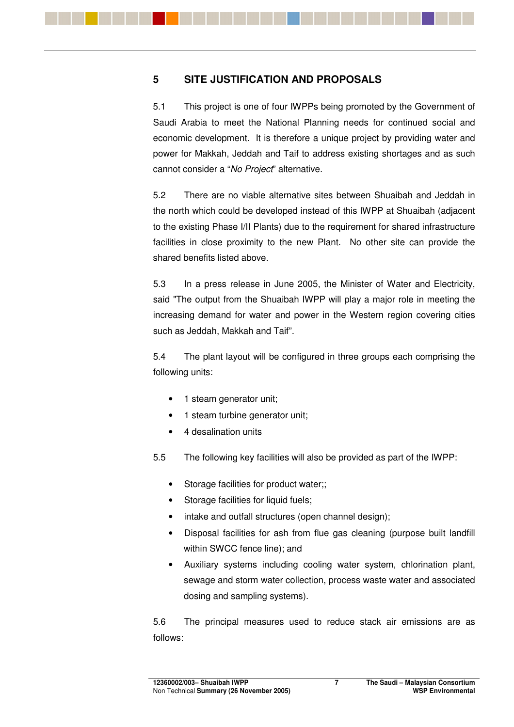### **5 SITE JUSTIFICATION AND PROPOSALS**

5.1 This project is one of four IWPPs being promoted by the Government of Saudi Arabia to meet the National Planning needs for continued social and economic development. It is therefore a unique project by providing water and power for Makkah, Jeddah and Taif to address existing shortages and as such cannot consider a "*No Project*" alternative.

5.2 There are no viable alternative sites between Shuaibah and Jeddah in the north which could be developed instead of this IWPP at Shuaibah (adjacent to the existing Phase I/II Plants) due to the requirement for shared infrastructure facilities in close proximity to the new Plant. No other site can provide the shared benefits listed above.

5.3 In a press release in June 2005, the Minister of Water and Electricity, said "The output from the Shuaibah IWPP will play a major role in meeting the increasing demand for water and power in the Western region covering cities such as Jeddah, Makkah and Taif".

5.4 The plant layout will be configured in three groups each comprising the following units:

- 1 steam generator unit;
- 1 steam turbine generator unit;
- 4 desalination units
- 5.5 The following key facilities will also be provided as part of the IWPP:
	- Storage facilities for product water;;
	- Storage facilities for liquid fuels;
	- intake and outfall structures (open channel design);
	- Disposal facilities for ash from flue gas cleaning (purpose built landfill within SWCC fence line); and
	- Auxiliary systems including cooling water system, chlorination plant, sewage and storm water collection, process waste water and associated dosing and sampling systems).

5.6 The principal measures used to reduce stack air emissions are as follows: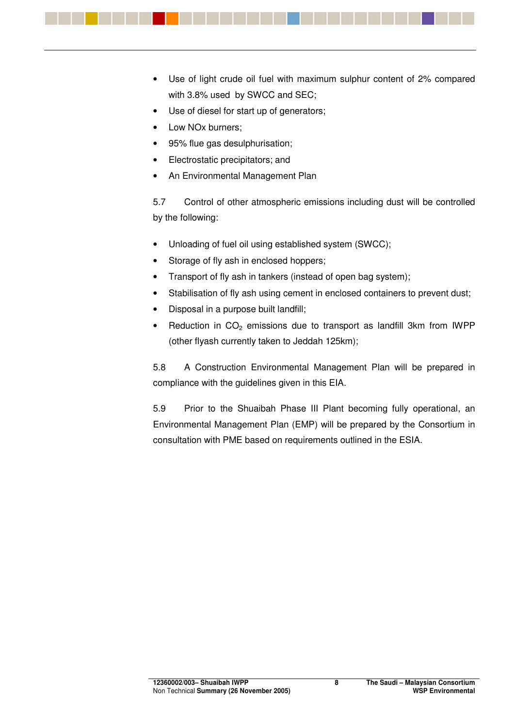

- Use of diesel for start up of generators:
- Low NO<sub>x</sub> burners;
- 95% flue gas desulphurisation;
- Electrostatic precipitators; and
- An Environmental Management Plan

5.7 Control of other atmospheric emissions including dust will be controlled by the following:

- Unloading of fuel oil using established system (SWCC);
- Storage of fly ash in enclosed hoppers:
- Transport of fly ash in tankers (instead of open bag system);
- Stabilisation of fly ash using cement in enclosed containers to prevent dust;
- Disposal in a purpose built landfill;
- Reduction in  $CO<sub>2</sub>$  emissions due to transport as landfill 3km from IWPP (other flyash currently taken to Jeddah 125km);

5.8 A Construction Environmental Management Plan will be prepared in compliance with the guidelines given in this EIA.

5.9 Prior to the Shuaibah Phase III Plant becoming fully operational, an Environmental Management Plan (EMP) will be prepared by the Consortium in consultation with PME based on requirements outlined in the ESIA.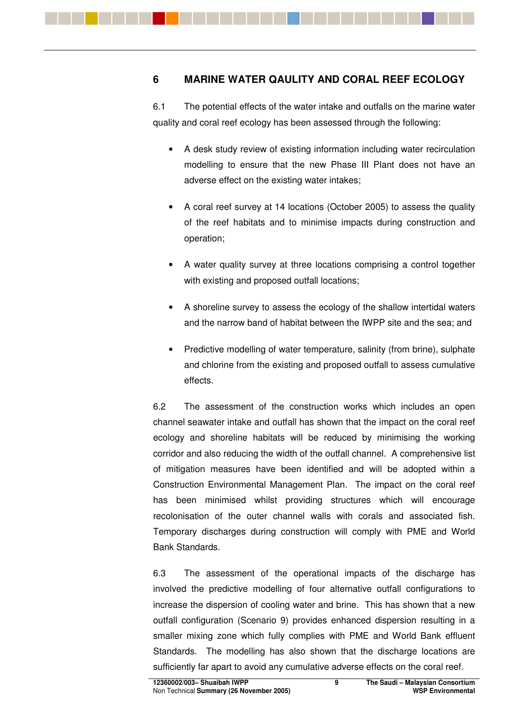### **6 MARINE WATER QAULITY AND CORAL REEF ECOLOGY**

6.1 The potential effects of the water intake and outfalls on the marine water quality and coral reef ecology has been assessed through the following:

- A desk study review of existing information including water recirculation modelling to ensure that the new Phase III Plant does not have an adverse effect on the existing water intakes;
- A coral reef survey at 14 locations (October 2005) to assess the quality of the reef habitats and to minimise impacts during construction and operation;
- A water quality survey at three locations comprising a control together with existing and proposed outfall locations;
- A shoreline survey to assess the ecology of the shallow intertidal waters and the narrow band of habitat between the IWPP site and the sea; and
- Predictive modelling of water temperature, salinity (from brine), sulphate and chlorine from the existing and proposed outfall to assess cumulative effects.

6.2 The assessment of the construction works which includes an open channel seawater intake and outfall has shown that the impact on the coral reef ecology and shoreline habitats will be reduced by minimising the working corridor and also reducing the width of the outfall channel. A comprehensive list of mitigation measures have been identified and will be adopted within a Construction Environmental Management Plan. The impact on the coral reef has been minimised whilst providing structures which will encourage recolonisation of the outer channel walls with corals and associated fish. Temporary discharges during construction will comply with PME and World Bank Standards.

6.3 The assessment of the operational impacts of the discharge has involved the predictive modelling of four alternative outfall configurations to increase the dispersion of cooling water and brine. This has shown that a new outfall configuration (Scenario 9) provides enhanced dispersion resulting in a smaller mixing zone which fully complies with PME and World Bank effluent Standards. The modelling has also shown that the discharge locations are sufficiently far apart to avoid any cumulative adverse effects on the coral reef.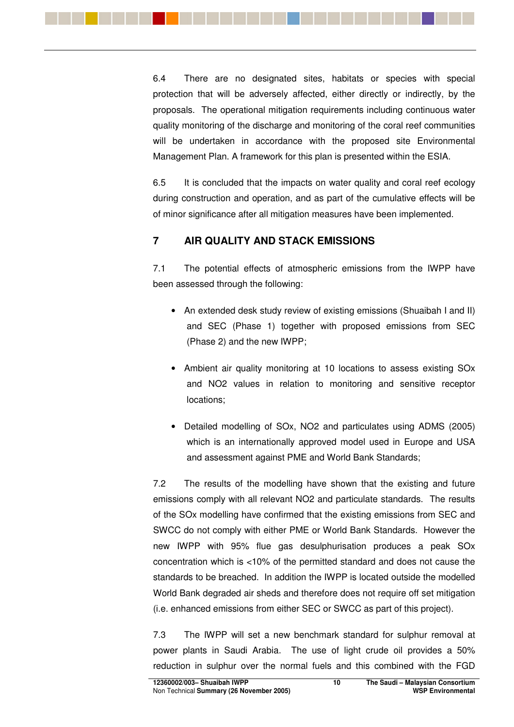

6.4 There are no designated sites, habitats or species with special protection that will be adversely affected, either directly or indirectly, by the proposals. The operational mitigation requirements including continuous water quality monitoring of the discharge and monitoring of the coral reef communities will be undertaken in accordance with the proposed site Environmental Management Plan. A framework for this plan is presented within the ESIA.

6.5 It is concluded that the impacts on water quality and coral reef ecology during construction and operation, and as part of the cumulative effects will be of minor significance after all mitigation measures have been implemented.

# **7 AIR QUALITY AND STACK EMISSIONS**

7.1 The potential effects of atmospheric emissions from the IWPP have been assessed through the following:

- An extended desk study review of existing emissions (Shuaibah I and II) and SEC (Phase 1) together with proposed emissions from SEC (Phase 2) and the new IWPP;
- Ambient air quality monitoring at 10 locations to assess existing SOx and NO2 values in relation to monitoring and sensitive receptor locations;
- Detailed modelling of SOx, NO2 and particulates using ADMS (2005) which is an internationally approved model used in Europe and USA and assessment against PME and World Bank Standards;

7.2 The results of the modelling have shown that the existing and future emissions comply with all relevant NO2 and particulate standards. The results of the SOx modelling have confirmed that the existing emissions from SEC and SWCC do not comply with either PME or World Bank Standards. However the new IWPP with 95% flue gas desulphurisation produces a peak SOx concentration which is <10% of the permitted standard and does not cause the standards to be breached. In addition the IWPP is located outside the modelled World Bank degraded air sheds and therefore does not require off set mitigation (i.e. enhanced emissions from either SEC or SWCC as part of this project).

7.3 The IWPP will set a new benchmark standard for sulphur removal at power plants in Saudi Arabia. The use of light crude oil provides a 50% reduction in sulphur over the normal fuels and this combined with the FGD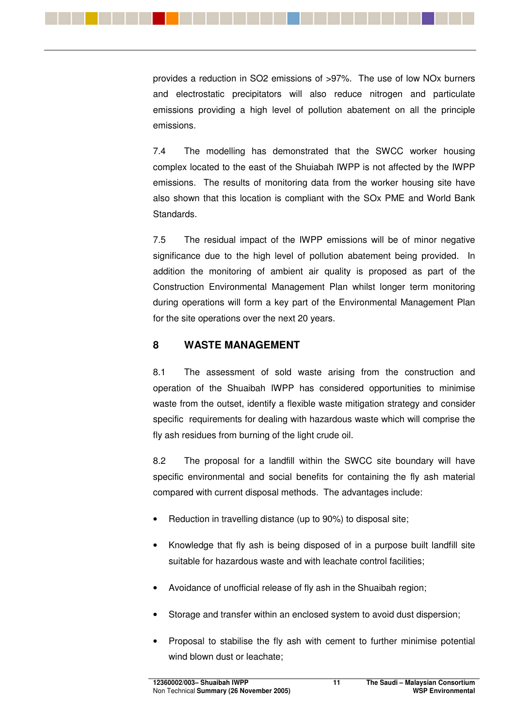

provides a reduction in SO2 emissions of >97%. The use of low NOx burners and electrostatic precipitators will also reduce nitrogen and particulate emissions providing a high level of pollution abatement on all the principle emissions.

7.4 The modelling has demonstrated that the SWCC worker housing complex located to the east of the Shuiabah IWPP is not affected by the IWPP emissions. The results of monitoring data from the worker housing site have also shown that this location is compliant with the SOx PME and World Bank Standards.

7.5 The residual impact of the IWPP emissions will be of minor negative significance due to the high level of pollution abatement being provided. In addition the monitoring of ambient air quality is proposed as part of the Construction Environmental Management Plan whilst longer term monitoring during operations will form a key part of the Environmental Management Plan for the site operations over the next 20 years.

#### **8 WASTE MANAGEMENT**

8.1 The assessment of sold waste arising from the construction and operation of the Shuaibah IWPP has considered opportunities to minimise waste from the outset, identify a flexible waste mitigation strategy and consider specific requirements for dealing with hazardous waste which will comprise the fly ash residues from burning of the light crude oil.

8.2 The proposal for a landfill within the SWCC site boundary will have specific environmental and social benefits for containing the fly ash material compared with current disposal methods. The advantages include:

- Reduction in travelling distance (up to 90%) to disposal site;
- Knowledge that fly ash is being disposed of in a purpose built landfill site suitable for hazardous waste and with leachate control facilities;
- Avoidance of unofficial release of fly ash in the Shuaibah region;
- Storage and transfer within an enclosed system to avoid dust dispersion;
- Proposal to stabilise the fly ash with cement to further minimise potential wind blown dust or leachate;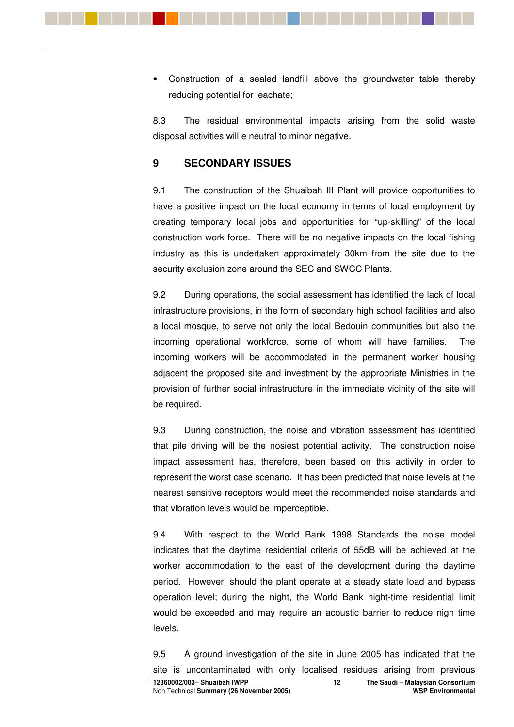• Construction of a sealed landfill above the groundwater table thereby reducing potential for leachate;

8.3 The residual environmental impacts arising from the solid waste disposal activities will e neutral to minor negative.

#### **9 SECONDARY ISSUES**

9.1 The construction of the Shuaibah III Plant will provide opportunities to have a positive impact on the local economy in terms of local employment by creating temporary local jobs and opportunities for "up-skilling" of the local construction work force. There will be no negative impacts on the local fishing industry as this is undertaken approximately 30km from the site due to the security exclusion zone around the SEC and SWCC Plants.

9.2 During operations, the social assessment has identified the lack of local infrastructure provisions, in the form of secondary high school facilities and also a local mosque, to serve not only the local Bedouin communities but also the incoming operational workforce, some of whom will have families. The incoming workers will be accommodated in the permanent worker housing adjacent the proposed site and investment by the appropriate Ministries in the provision of further social infrastructure in the immediate vicinity of the site will be required.

9.3 During construction, the noise and vibration assessment has identified that pile driving will be the nosiest potential activity. The construction noise impact assessment has, therefore, been based on this activity in order to represent the worst case scenario. It has been predicted that noise levels at the nearest sensitive receptors would meet the recommended noise standards and that vibration levels would be imperceptible.

9.4 With respect to the World Bank 1998 Standards the noise model indicates that the daytime residential criteria of 55dB will be achieved at the worker accommodation to the east of the development during the daytime period. However, should the plant operate at a steady state load and bypass operation level; during the night, the World Bank night-time residential limit would be exceeded and may require an acoustic barrier to reduce nigh time levels.

9.5 A ground investigation of the site in June 2005 has indicated that the site is uncontaminated with only localised residues arising from previous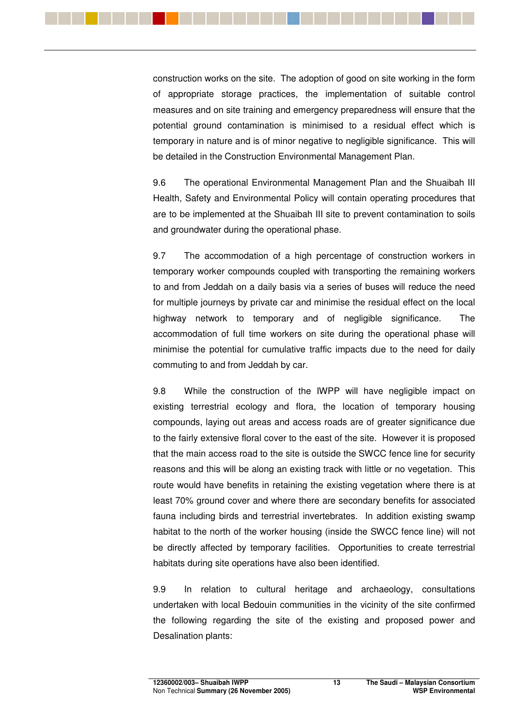

construction works on the site. The adoption of good on site working in the form of appropriate storage practices, the implementation of suitable control measures and on site training and emergency preparedness will ensure that the potential ground contamination is minimised to a residual effect which is temporary in nature and is of minor negative to negligible significance. This will be detailed in the Construction Environmental Management Plan.

9.6 The operational Environmental Management Plan and the Shuaibah III Health, Safety and Environmental Policy will contain operating procedures that are to be implemented at the Shuaibah III site to prevent contamination to soils and groundwater during the operational phase.

9.7 The accommodation of a high percentage of construction workers in temporary worker compounds coupled with transporting the remaining workers to and from Jeddah on a daily basis via a series of buses will reduce the need for multiple journeys by private car and minimise the residual effect on the local highway network to temporary and of negligible significance. The accommodation of full time workers on site during the operational phase will minimise the potential for cumulative traffic impacts due to the need for daily commuting to and from Jeddah by car.

9.8 While the construction of the IWPP will have negligible impact on existing terrestrial ecology and flora, the location of temporary housing compounds, laying out areas and access roads are of greater significance due to the fairly extensive floral cover to the east of the site. However it is proposed that the main access road to the site is outside the SWCC fence line for security reasons and this will be along an existing track with little or no vegetation. This route would have benefits in retaining the existing vegetation where there is at least 70% ground cover and where there are secondary benefits for associated fauna including birds and terrestrial invertebrates. In addition existing swamp habitat to the north of the worker housing (inside the SWCC fence line) will not be directly affected by temporary facilities. Opportunities to create terrestrial habitats during site operations have also been identified.

9.9 In relation to cultural heritage and archaeology, consultations undertaken with local Bedouin communities in the vicinity of the site confirmed the following regarding the site of the existing and proposed power and Desalination plants: